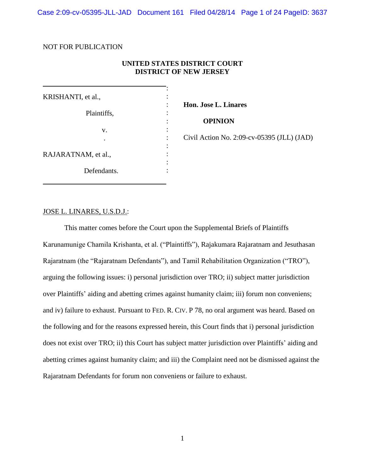Case 2:09-cv-05395-JLL-JAD Document 161 Filed 04/28/14 Page 1 of 24 PageID: 3637

## NOT FOR PUBLICATION

## **UNITED STATES DISTRICT COURT DISTRICT OF NEW JERSEY**

| KRISHANTI, et al.,  |  |
|---------------------|--|
|                     |  |
| Plaintiffs,         |  |
|                     |  |
| V.                  |  |
|                     |  |
|                     |  |
| RAJARATNAM, et al., |  |
|                     |  |
| Defendants.         |  |

**Hon. Jose L. Linares**

 **OPINION**

Civil Action No. 2:09-cv-05395 (JLL) (JAD)

## JOSE L. LINARES, U.S.D.J.:

This matter comes before the Court upon the Supplemental Briefs of Plaintiffs Karunamunige Chamila Krishanta, et al. ("Plaintiffs"), Rajakumara Rajaratnam and Jesuthasan Rajaratnam (the "Rajaratnam Defendants"), and Tamil Rehabilitation Organization ("TRO"), arguing the following issues: i) personal jurisdiction over TRO; ii) subject matter jurisdiction over Plaintiffs' aiding and abetting crimes against humanity claim; iii) forum non conveniens; and iv) failure to exhaust. Pursuant to FED. R. CIV. P 78, no oral argument was heard. Based on the following and for the reasons expressed herein, this Court finds that i) personal jurisdiction does not exist over TRO; ii) this Court has subject matter jurisdiction over Plaintiffs' aiding and abetting crimes against humanity claim; and iii) the Complaint need not be dismissed against the Rajaratnam Defendants for forum non conveniens or failure to exhaust.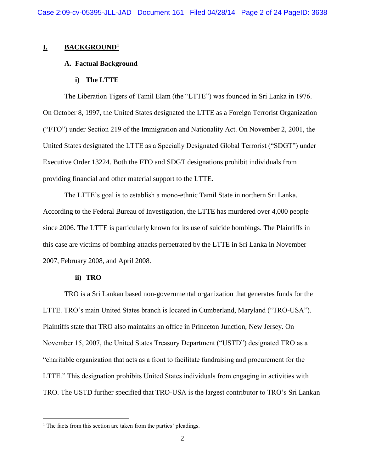## **I. BACKGROUND<sup>1</sup>**

### **A. Factual Background**

### **i) The LTTE**

The Liberation Tigers of Tamil Elam (the "LTTE") was founded in Sri Lanka in 1976. On October 8, 1997, the United States designated the LTTE as a Foreign Terrorist Organization ("FTO") under Section 219 of the Immigration and Nationality Act. On November 2, 2001, the United States designated the LTTE as a Specially Designated Global Terrorist ("SDGT") under Executive Order 13224. Both the FTO and SDGT designations prohibit individuals from providing financial and other material support to the LTTE.

The LTTE's goal is to establish a mono-ethnic Tamil State in northern Sri Lanka. According to the Federal Bureau of Investigation, the LTTE has murdered over 4,000 people since 2006. The LTTE is particularly known for its use of suicide bombings. The Plaintiffs in this case are victims of bombing attacks perpetrated by the LTTE in Sri Lanka in November 2007, February 2008, and April 2008.

## **ii) TRO**

 $\overline{a}$ 

TRO is a Sri Lankan based non-governmental organization that generates funds for the LTTE. TRO's main United States branch is located in Cumberland, Maryland ("TRO-USA"). Plaintiffs state that TRO also maintains an office in Princeton Junction, New Jersey. On November 15, 2007, the United States Treasury Department ("USTD") designated TRO as a "charitable organization that acts as a front to facilitate fundraising and procurement for the LTTE." This designation prohibits United States individuals from engaging in activities with TRO. The USTD further specified that TRO-USA is the largest contributor to TRO's Sri Lankan

<sup>&</sup>lt;sup>1</sup> The facts from this section are taken from the parties' pleadings.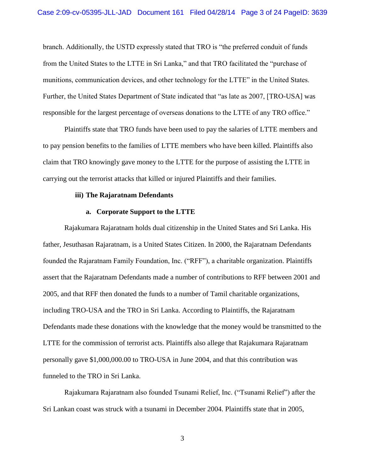branch. Additionally, the USTD expressly stated that TRO is "the preferred conduit of funds from the United States to the LTTE in Sri Lanka," and that TRO facilitated the "purchase of munitions, communication devices, and other technology for the LTTE" in the United States. Further, the United States Department of State indicated that "as late as 2007, [TRO-USA] was responsible for the largest percentage of overseas donations to the LTTE of any TRO office."

Plaintiffs state that TRO funds have been used to pay the salaries of LTTE members and to pay pension benefits to the families of LTTE members who have been killed. Plaintiffs also claim that TRO knowingly gave money to the LTTE for the purpose of assisting the LTTE in carrying out the terrorist attacks that killed or injured Plaintiffs and their families.

### **iii) The Rajaratnam Defendants**

### **a. Corporate Support to the LTTE**

Rajakumara Rajaratnam holds dual citizenship in the United States and Sri Lanka. His father, Jesuthasan Rajaratnam, is a United States Citizen. In 2000, the Rajaratnam Defendants founded the Rajaratnam Family Foundation, Inc. ("RFF"), a charitable organization. Plaintiffs assert that the Rajaratnam Defendants made a number of contributions to RFF between 2001 and 2005, and that RFF then donated the funds to a number of Tamil charitable organizations, including TRO-USA and the TRO in Sri Lanka. According to Plaintiffs, the Rajaratnam Defendants made these donations with the knowledge that the money would be transmitted to the LTTE for the commission of terrorist acts. Plaintiffs also allege that Rajakumara Rajaratnam personally gave \$1,000,000.00 to TRO-USA in June 2004, and that this contribution was funneled to the TRO in Sri Lanka.

Rajakumara Rajaratnam also founded Tsunami Relief, Inc. ("Tsunami Relief") after the Sri Lankan coast was struck with a tsunami in December 2004. Plaintiffs state that in 2005,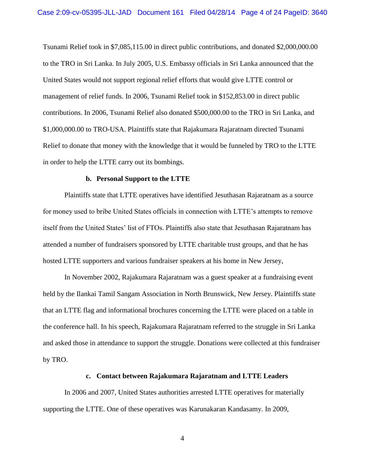Tsunami Relief took in \$7,085,115.00 in direct public contributions, and donated \$2,000,000.00 to the TRO in Sri Lanka. In July 2005, U.S. Embassy officials in Sri Lanka announced that the United States would not support regional relief efforts that would give LTTE control or management of relief funds. In 2006, Tsunami Relief took in \$152,853.00 in direct public contributions. In 2006, Tsunami Relief also donated \$500,000.00 to the TRO in Sri Lanka, and \$1,000,000.00 to TRO-USA. Plaintiffs state that Rajakumara Rajaratnam directed Tsunami Relief to donate that money with the knowledge that it would be funneled by TRO to the LTTE in order to help the LTTE carry out its bombings.

## **b. Personal Support to the LTTE**

Plaintiffs state that LTTE operatives have identified Jesuthasan Rajaratnam as a source for money used to bribe United States officials in connection with LTTE's attempts to remove itself from the United States' list of FTOs. Plaintiffs also state that Jesuthasan Rajaratnam has attended a number of fundraisers sponsored by LTTE charitable trust groups, and that he has hosted LTTE supporters and various fundraiser speakers at his home in New Jersey,

In November 2002, Rajakumara Rajaratnam was a guest speaker at a fundraising event held by the Ilankai Tamil Sangam Association in North Brunswick, New Jersey. Plaintiffs state that an LTTE flag and informational brochures concerning the LTTE were placed on a table in the conference hall. In his speech, Rajakumara Rajaratnam referred to the struggle in Sri Lanka and asked those in attendance to support the struggle. Donations were collected at this fundraiser by TRO.

### **c. Contact between Rajakumara Rajaratnam and LTTE Leaders**

In 2006 and 2007, United States authorities arrested LTTE operatives for materially supporting the LTTE. One of these operatives was Karunakaran Kandasamy. In 2009,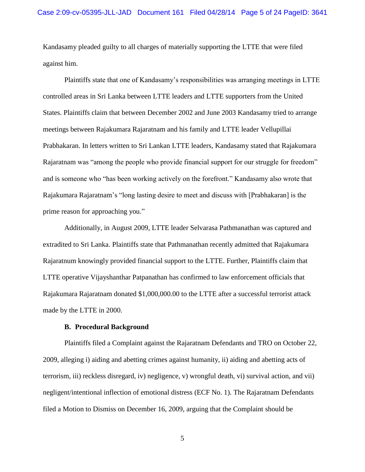Kandasamy pleaded guilty to all charges of materially supporting the LTTE that were filed against him.

Plaintiffs state that one of Kandasamy's responsibilities was arranging meetings in LTTE controlled areas in Sri Lanka between LTTE leaders and LTTE supporters from the United States. Plaintiffs claim that between December 2002 and June 2003 Kandasamy tried to arrange meetings between Rajakumara Rajaratnam and his family and LTTE leader Vellupillai Prabhakaran. In letters written to Sri Lankan LTTE leaders, Kandasamy stated that Rajakumara Rajaratnam was "among the people who provide financial support for our struggle for freedom" and is someone who "has been working actively on the forefront." Kandasamy also wrote that Rajakumara Rajaratnam's "long lasting desire to meet and discuss with [Prabhakaran] is the prime reason for approaching you."

Additionally, in August 2009, LTTE leader Selvarasa Pathmanathan was captured and extradited to Sri Lanka. Plaintiffs state that Pathmanathan recently admitted that Rajakumara Rajaratnum knowingly provided financial support to the LTTE. Further, Plaintiffs claim that LTTE operative Vijayshanthar Patpanathan has confirmed to law enforcement officials that Rajakumara Rajaratnam donated \$1,000,000.00 to the LTTE after a successful terrorist attack made by the LTTE in 2000.

## **B. Procedural Background**

Plaintiffs filed a Complaint against the Rajaratnam Defendants and TRO on October 22, 2009, alleging i) aiding and abetting crimes against humanity, ii) aiding and abetting acts of terrorism, iii) reckless disregard, iv) negligence, v) wrongful death, vi) survival action, and vii) negligent/intentional inflection of emotional distress (ECF No. 1). The Rajaratnam Defendants filed a Motion to Dismiss on December 16, 2009, arguing that the Complaint should be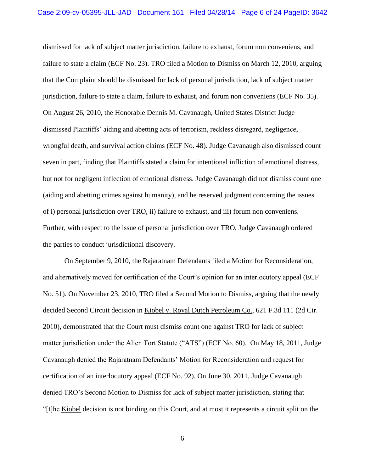dismissed for lack of subject matter jurisdiction, failure to exhaust, forum non conveniens, and failure to state a claim (ECF No. 23). TRO filed a Motion to Dismiss on March 12, 2010, arguing that the Complaint should be dismissed for lack of personal jurisdiction, lack of subject matter jurisdiction, failure to state a claim, failure to exhaust, and forum non conveniens (ECF No. 35). On August 26, 2010, the Honorable Dennis M. Cavanaugh, United States District Judge dismissed Plaintiffs' aiding and abetting acts of terrorism, reckless disregard, negligence, wrongful death, and survival action claims (ECF No. 48). Judge Cavanaugh also dismissed count seven in part, finding that Plaintiffs stated a claim for intentional infliction of emotional distress, but not for negligent inflection of emotional distress. Judge Cavanaugh did not dismiss count one (aiding and abetting crimes against humanity), and he reserved judgment concerning the issues of i) personal jurisdiction over TRO, ii) failure to exhaust, and iii) forum non conveniens. Further, with respect to the issue of personal jurisdiction over TRO, Judge Cavanaugh ordered the parties to conduct jurisdictional discovery.

On September 9, 2010, the Rajaratnam Defendants filed a Motion for Reconsideration, and alternatively moved for certification of the Court's opinion for an interlocutory appeal (ECF No. 51). On November 23, 2010, TRO filed a Second Motion to Dismiss, arguing that the newly decided Second Circuit decision in Kiobel v. Royal Dutch Petroleum Co., 621 F.3d 111 (2d Cir. 2010), demonstrated that the Court must dismiss count one against TRO for lack of subject matter jurisdiction under the Alien Tort Statute ("ATS") (ECF No. 60). On May 18, 2011, Judge Cavanaugh denied the Rajaratnam Defendants' Motion for Reconsideration and request for certification of an interlocutory appeal (ECF No. 92). On June 30, 2011, Judge Cavanaugh denied TRO's Second Motion to Dismiss for lack of subject matter jurisdiction, stating that "[t]he Kiobel decision is not binding on this Court, and at most it represents a circuit split on the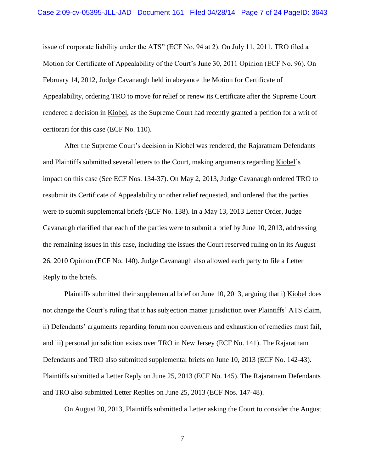issue of corporate liability under the ATS" (ECF No. 94 at 2). On July 11, 2011, TRO filed a Motion for Certificate of Appealability of the Court's June 30, 2011 Opinion (ECF No. 96). On February 14, 2012, Judge Cavanaugh held in abeyance the Motion for Certificate of Appealability, ordering TRO to move for relief or renew its Certificate after the Supreme Court rendered a decision in Kiobel, as the Supreme Court had recently granted a petition for a writ of certiorari for this case (ECF No. 110).

After the Supreme Court's decision in Kiobel was rendered, the Rajaratnam Defendants and Plaintiffs submitted several letters to the Court, making arguments regarding Kiobel's impact on this case (See ECF Nos. 134-37). On May 2, 2013, Judge Cavanaugh ordered TRO to resubmit its Certificate of Appealability or other relief requested, and ordered that the parties were to submit supplemental briefs (ECF No. 138). In a May 13, 2013 Letter Order, Judge Cavanaugh clarified that each of the parties were to submit a brief by June 10, 2013, addressing the remaining issues in this case, including the issues the Court reserved ruling on in its August 26, 2010 Opinion (ECF No. 140). Judge Cavanaugh also allowed each party to file a Letter Reply to the briefs.

Plaintiffs submitted their supplemental brief on June 10, 2013, arguing that i) Kiobel does not change the Court's ruling that it has subjection matter jurisdiction over Plaintiffs' ATS claim, ii) Defendants' arguments regarding forum non conveniens and exhaustion of remedies must fail, and iii) personal jurisdiction exists over TRO in New Jersey (ECF No. 141). The Rajaratnam Defendants and TRO also submitted supplemental briefs on June 10, 2013 (ECF No. 142-43). Plaintiffs submitted a Letter Reply on June 25, 2013 (ECF No. 145). The Rajaratnam Defendants and TRO also submitted Letter Replies on June 25, 2013 (ECF Nos. 147-48).

On August 20, 2013, Plaintiffs submitted a Letter asking the Court to consider the August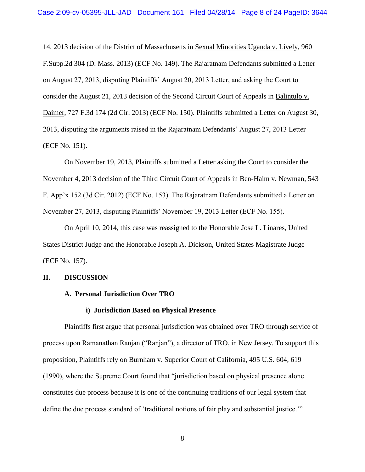14, 2013 decision of the District of Massachusetts in Sexual Minorities Uganda v. Lively, 960 F.Supp.2d 304 (D. Mass. 2013) (ECF No. 149). The Rajaratnam Defendants submitted a Letter on August 27, 2013, disputing Plaintiffs' August 20, 2013 Letter, and asking the Court to consider the August 21, 2013 decision of the Second Circuit Court of Appeals in Balintulo v. Daimer, 727 F.3d 174 (2d Cir. 2013) (ECF No. 150). Plaintiffs submitted a Letter on August 30, 2013, disputing the arguments raised in the Rajaratnam Defendants' August 27, 2013 Letter (ECF No. 151).

On November 19, 2013, Plaintiffs submitted a Letter asking the Court to consider the November 4, 2013 decision of the Third Circuit Court of Appeals in Ben-Haim v. Newman, 543 F. App'x 152 (3d Cir. 2012) (ECF No. 153). The Rajaratnam Defendants submitted a Letter on November 27, 2013, disputing Plaintiffs' November 19, 2013 Letter (ECF No. 155).

On April 10, 2014, this case was reassigned to the Honorable Jose L. Linares, United States District Judge and the Honorable Joseph A. Dickson, United States Magistrate Judge (ECF No. 157).

## **II. DISCUSSION**

## **A. Personal Jurisdiction Over TRO**

### **i) Jurisdiction Based on Physical Presence**

Plaintiffs first argue that personal jurisdiction was obtained over TRO through service of process upon Ramanathan Ranjan ("Ranjan"), a director of TRO, in New Jersey. To support this proposition, Plaintiffs rely on Burnham v. Superior Court of California, 495 U.S. 604, 619 (1990), where the Supreme Court found that "jurisdiction based on physical presence alone constitutes due process because it is one of the continuing traditions of our legal system that define the due process standard of 'traditional notions of fair play and substantial justice.'"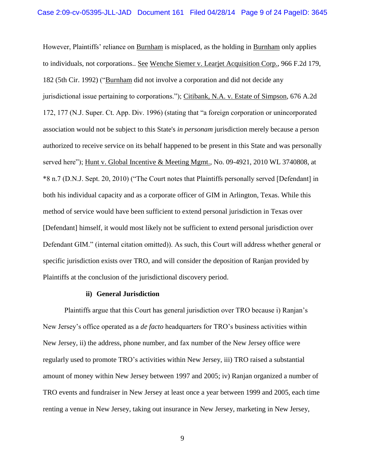However, Plaintiffs' reliance on Burnham is misplaced, as the holding in Burnham only applies to individuals, not corporations.. See Wenche Siemer v. Learjet Acquisition Corp., 966 F.2d 179, 182 (5th Cir. 1992) ("Burnham did not involve a corporation and did not decide any jurisdictional issue pertaining to corporations."); Citibank, N.A. v. Estate of Simpson, 676 A.2d 172, 177 (N.J. Super. Ct. App. Div. 1996) (stating that "a foreign corporation or unincorporated association would not be subject to this State's *in personam* jurisdiction merely because a person authorized to receive service on its behalf happened to be present in this State and was personally served here"); Hunt v. Global Incentive & Meeting Mgmt., No. 09-4921, 2010 WL 3740808, at \*8 n.7 (D.N.J. Sept. 20, 2010) ("The Court notes that Plaintiffs personally served [Defendant] in both his individual capacity and as a corporate officer of GIM in Arlington, Texas. While this method of service would have been sufficient to extend personal jurisdiction in Texas over [Defendant] himself, it would most likely not be sufficient to extend personal jurisdiction over Defendant GIM." (internal citation omitted)). As such, this Court will address whether general or specific jurisdiction exists over TRO, and will consider the deposition of Ranjan provided by Plaintiffs at the conclusion of the jurisdictional discovery period.

### **ii) General Jurisdiction**

Plaintiffs argue that this Court has general jurisdiction over TRO because i) Ranjan's New Jersey's office operated as a *de facto* headquarters for TRO's business activities within New Jersey, ii) the address, phone number, and fax number of the New Jersey office were regularly used to promote TRO's activities within New Jersey, iii) TRO raised a substantial amount of money within New Jersey between 1997 and 2005; iv) Ranjan organized a number of TRO events and fundraiser in New Jersey at least once a year between 1999 and 2005, each time renting a venue in New Jersey, taking out insurance in New Jersey, marketing in New Jersey,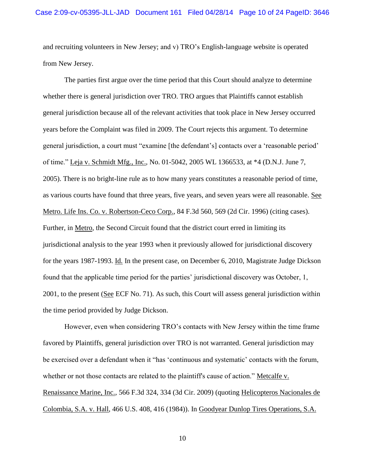and recruiting volunteers in New Jersey; and v) TRO's English-language website is operated from New Jersey.

The parties first argue over the time period that this Court should analyze to determine whether there is general jurisdiction over TRO. TRO argues that Plaintiffs cannot establish general jurisdiction because all of the relevant activities that took place in New Jersey occurred years before the Complaint was filed in 2009. The Court rejects this argument. To determine general jurisdiction, a court must "examine [the defendant's] contacts over a 'reasonable period' of time." Leja v. Schmidt Mfg., Inc., No. 01-5042, 2005 WL 1366533, at \*4 (D.N.J. June 7, 2005). There is no bright-line rule as to how many years constitutes a reasonable period of time, as various courts have found that three years, five years, and seven years were all reasonable. See Metro. Life Ins. Co. v. Robertson-Ceco Corp., 84 F.3d 560, 569 (2d Cir. 1996) (citing cases). Further, in Metro, the Second Circuit found that the district court erred in limiting its jurisdictional analysis to the year 1993 when it previously allowed for jurisdictional discovery for the years 1987-1993. Id. In the present case, on December 6, 2010, Magistrate Judge Dickson found that the applicable time period for the parties' jurisdictional discovery was October, 1, 2001, to the present (See ECF No. 71). As such, this Court will assess general jurisdiction within the time period provided by Judge Dickson.

However, even when considering TRO's contacts with New Jersey within the time frame favored by Plaintiffs, general jurisdiction over TRO is not warranted. General jurisdiction may be exercised over a defendant when it "has 'continuous and systematic' contacts with the forum, whether or not those contacts are related to the plaintiff's cause of action." Metcalfe v. Renaissance Marine, Inc., 566 F.3d 324, 334 (3d Cir. 2009) (quoting Helicopteros Nacionales de Colombia, S.A. v. Hall, 466 U.S. 408, 416 (1984)). In Goodyear Dunlop Tires Operations, S.A.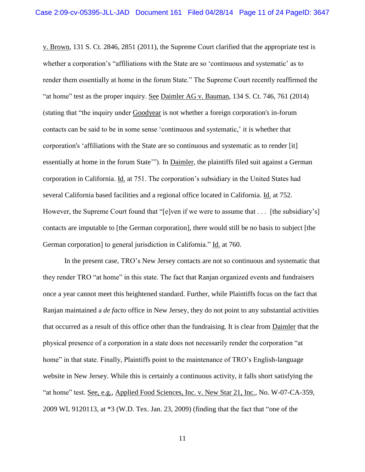v. Brown, 131 S. Ct. 2846, 2851 (2011), the Supreme Court clarified that the appropriate test is whether a corporation's "affiliations with the State are so 'continuous and systematic' as to render them essentially at home in the forum State." The Supreme Court recently reaffirmed the "at home" test as the proper inquiry. See Daimler AG v. Bauman, 134 S. Ct. 746, 761 (2014) (stating that "the inquiry under Goodyear is not whether a foreign corporation's in-forum contacts can be said to be in some sense 'continuous and systematic,' it is whether that corporation's 'affiliations with the State are so continuous and systematic as to render [it] essentially at home in the forum State'"). In **Daimler**, the plaintiffs filed suit against a German corporation in California. Id. at 751. The corporation's subsidiary in the United States had several California based facilities and a regional office located in California. Id. at 752. However, the Supreme Court found that "[e]ven if we were to assume that . . . [the subsidiary's] contacts are imputable to [the German corporation], there would still be no basis to subject [the German corporation] to general jurisdiction in California." Id. at 760.

In the present case, TRO's New Jersey contacts are not so continuous and systematic that they render TRO "at home" in this state. The fact that Ranjan organized events and fundraisers once a year cannot meet this heightened standard. Further, while Plaintiffs focus on the fact that Ranjan maintained a *de facto* office in New Jersey, they do not point to any substantial activities that occurred as a result of this office other than the fundraising. It is clear from Daimler that the physical presence of a corporation in a state does not necessarily render the corporation "at home" in that state. Finally, Plaintiffs point to the maintenance of TRO's English-language website in New Jersey. While this is certainly a continuous activity, it falls short satisfying the "at home" test. See, e.g., Applied Food Sciences, Inc. v. New Star 21, Inc., No. W-07-CA-359, 2009 WL 9120113, at \*3 (W.D. Tex. Jan. 23, 2009) (finding that the fact that "one of the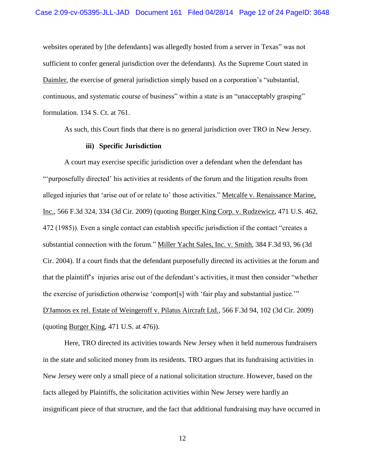websites operated by [the defendants] was allegedly hosted from a server in Texas" was not sufficient to confer general jurisdiction over the defendants). As the Supreme Court stated in Daimler, the exercise of general jurisdiction simply based on a corporation's "substantial, continuous, and systematic course of business" within a state is an "unacceptably grasping" formulation. 134 S. Ct. at 761.

As such, this Court finds that there is no general jurisdiction over TRO in New Jersey.

## **iii) Specific Jurisdiction**

A court may exercise specific jurisdiction over a defendant when the defendant has "'purposefully directed' his activities at residents of the forum and the litigation results from alleged injuries that 'arise out of or relate to' those activities." Metcalfe v. Renaissance Marine, Inc., 566 F.3d 324, 334 (3d Cir. 2009) (quoting Burger King Corp. v. Rudzewicz, 471 U.S. 462, 472 (1985)). Even a single contact can establish specific jurisdiction if the contact "creates a substantial connection with the forum." Miller Yacht Sales, Inc. v. Smith, 384 F.3d 93, 96 (3d Cir. 2004). If a court finds that the defendant purposefully directed its activities at the forum and that the plaintiff's injuries arise out of the defendant's activities, it must then consider "whether the exercise of jurisdiction otherwise 'comport[s] with 'fair play and substantial justice.'" D'Jamoos ex rel. Estate of Weingeroff v. Pilatus Aircraft Ltd., 566 F.3d 94, 102 (3d Cir. 2009) (quoting Burger King, 471 U.S. at 476)).

Here, TRO directed its activities towards New Jersey when it held numerous fundraisers in the state and solicited money from its residents. TRO argues that its fundraising activities in New Jersey were only a small piece of a national solicitation structure. However, based on the facts alleged by Plaintiffs, the solicitation activities within New Jersey were hardly an insignificant piece of that structure, and the fact that additional fundraising may have occurred in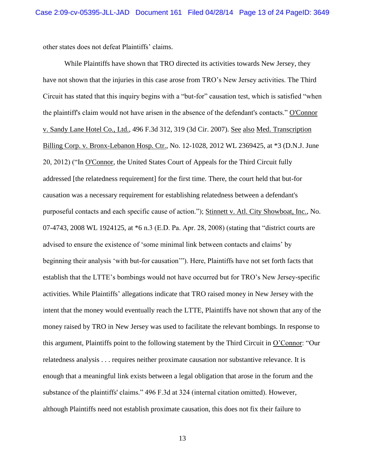other states does not defeat Plaintiffs' claims.

While Plaintiffs have shown that TRO directed its activities towards New Jersey, they have not shown that the injuries in this case arose from TRO's New Jersey activities. The Third Circuit has stated that this inquiry begins with a "but-for" causation test, which is satisfied "when the plaintiff's claim would not have arisen in the absence of the defendant's contacts." O'Connor v. Sandy Lane Hotel Co., Ltd., 496 F.3d 312, 319 (3d Cir. 2007). See also Med. Transcription Billing Corp. v. Bronx-Lebanon Hosp. Ctr., No. 12-1028, 2012 WL 2369425, at \*3 (D.N.J. June 20, 2012) ("In O'Connor*,* the United States Court of Appeals for the Third Circuit fully addressed [the relatedness requirement] for the first time. There, the court held that but-for causation was a necessary requirement for establishing relatedness between a defendant's purposeful contacts and each specific cause of action."); Stinnett v. Atl. City Showboat, Inc., No. 07-4743, 2008 WL 1924125, at \*6 n.3 (E.D. Pa. Apr. 28, 2008) (stating that "district courts are advised to ensure the existence of 'some minimal link between contacts and claims' by beginning their analysis 'with but-for causation'"). Here, Plaintiffs have not set forth facts that establish that the LTTE's bombings would not have occurred but for TRO's New Jersey-specific activities. While Plaintiffs' allegations indicate that TRO raised money in New Jersey with the intent that the money would eventually reach the LTTE, Plaintiffs have not shown that any of the money raised by TRO in New Jersey was used to facilitate the relevant bombings. In response to this argument, Plaintiffs point to the following statement by the Third Circuit in O'Connor: "Our relatedness analysis . . . requires neither proximate causation nor substantive relevance. It is enough that a meaningful link exists between a legal obligation that arose in the forum and the substance of the plaintiffs' claims." 496 F.3d at 324 (internal citation omitted). However, although Plaintiffs need not establish proximate causation, this does not fix their failure to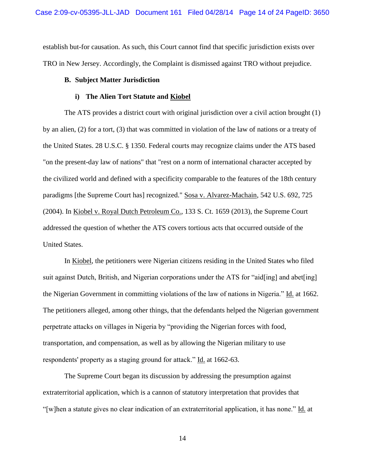establish but-for causation. As such, this Court cannot find that specific jurisdiction exists over TRO in New Jersey. Accordingly, the Complaint is dismissed against TRO without prejudice.

## **B. Subject Matter Jurisdiction**

### **i) The Alien Tort Statute and Kiobel**

The ATS provides a district court with original jurisdiction over a civil action brought (1) by an alien, (2) for a tort, (3) that was committed in violation of the law of nations or a treaty of the United States. 28 U.S.C. § 1350. Federal courts may recognize claims under the ATS based "on the present-day law of nations" that "rest on a norm of international character accepted by the civilized world and defined with a specificity comparable to the features of the 18th century paradigms [the Supreme Court has] recognized." Sosa v. Alvarez-Machain, 542 U.S. 692, 725 (2004). In Kiobel v. Royal Dutch Petroleum Co., 133 S. Ct. 1659 (2013), the Supreme Court addressed the question of whether the ATS covers tortious acts that occurred outside of the United States.

In Kiobel, the petitioners were Nigerian citizens residing in the United States who filed suit against Dutch, British, and Nigerian corporations under the ATS for "aid[ing] and abet[ing] the Nigerian Government in committing violations of the law of nations in Nigeria." Id. at 1662. The petitioners alleged, among other things, that the defendants helped the Nigerian government perpetrate attacks on villages in Nigeria by "providing the Nigerian forces with food, transportation, and compensation, as well as by allowing the Nigerian military to use respondents' property as a staging ground for attack." Id. at 1662-63.

The Supreme Court began its discussion by addressing the presumption against extraterritorial application, which is a cannon of statutory interpretation that provides that "[w]hen a statute gives no clear indication of an extraterritorial application, it has none." Id. at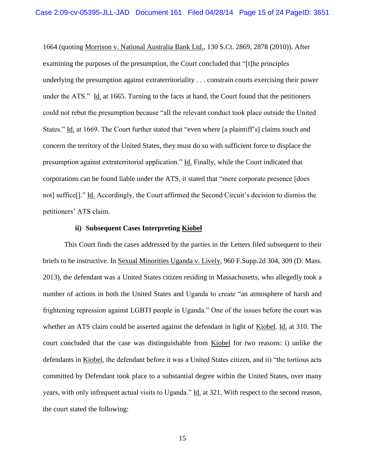1664 (quoting Morrison v. National Australia Bank Ltd., 130 S.Ct. 2869, 2878 (2010)). After examining the purposes of the presumption, the Court concluded that "[t]he principles underlying the presumption against extraterritoriality . . . constrain courts exercising their power under the ATS." Id. at 1665. Turning to the facts at hand, the Court found that the petitioners could not rebut the presumption because "all the relevant conduct took place outside the United States." Id. at 1669. The Court further stated that "even where [a plaintiff's] claims touch and concern the territory of the United States, they must do so with sufficient force to displace the presumption against extraterritorial application." Id. Finally, while the Court indicated that corporations can be found liable under the ATS, it stated that "mere corporate presence [does not] suffice[]." Id. Accordingly, the Court affirmed the Second Circuit's decision to dismiss the petitioners' ATS claim.

### **ii) Subsequent Cases Interpreting Kiobel**

This Court finds the cases addressed by the parties in the Letters filed subsequent to their briefs to be instructive. In Sexual Minorities Uganda v. Lively, 960 F.Supp.2d 304, 309 (D. Mass. 2013), the defendant was a United States citizen residing in Massachusetts, who allegedly took a number of actions in both the United States and Uganda to create "an atmosphere of harsh and frightening repression against LGBTI people in Uganda." One of the issues before the court was whether an ATS claim could be asserted against the defendant in light of Kiobel. Id. at 310. The court concluded that the case was distinguishable from Kiobel for two reasons: i) unlike the defendants in Kiobel, the defendant before it was a United States citizen, and ii) "the tortious acts committed by Defendant took place to a substantial degree within the United States, over many years, with only infrequent actual visits to Uganda." Id. at 321. With respect to the second reason, the court stated the following: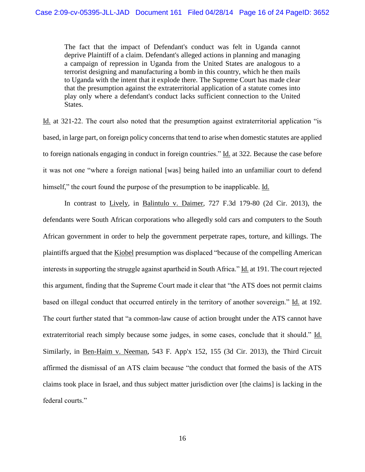The fact that the impact of Defendant's conduct was felt in Uganda cannot deprive Plaintiff of a claim. Defendant's alleged actions in planning and managing a campaign of repression in Uganda from the United States are analogous to a terrorist designing and manufacturing a bomb in this country, which he then mails to Uganda with the intent that it explode there. The Supreme Court has made clear that the presumption against the extraterritorial application of a statute comes into play only where a defendant's conduct lacks sufficient connection to the United States.

Id. at 321-22. The court also noted that the presumption against extraterritorial application "is based, in large part, on foreign policy concerns that tend to arise when domestic statutes are applied to foreign nationals engaging in conduct in foreign countries." Id. at 322. Because the case before it was not one "where a foreign national [was] being hailed into an unfamiliar court to defend himself," the court found the purpose of the presumption to be inapplicable. Id.

In contrast to Lively, in Balintulo v. Daimer, 727 F.3d 179-80 (2d Cir. 2013), the defendants were South African corporations who allegedly sold cars and computers to the South African government in order to help the government perpetrate rapes, torture, and killings. The plaintiffs argued that the Kiobel presumption was displaced "because of the compelling American interests in supporting the struggle against apartheid in South Africa." Id. at 191. The court rejected this argument, finding that the Supreme Court made it clear that "the ATS does not permit claims based on illegal conduct that occurred entirely in the territory of another sovereign." Id. at 192. The court further stated that "a common-law cause of action brought under the ATS cannot have extraterritorial reach simply because some judges, in some cases, conclude that it should." Id. Similarly, in Ben-Haim v. Neeman, 543 F. App'x 152, 155 (3d Cir. 2013), the Third Circuit affirmed the dismissal of an ATS claim because "the conduct that formed the basis of the ATS claims took place in Israel, and thus subject matter jurisdiction over [the claims] is lacking in the federal courts."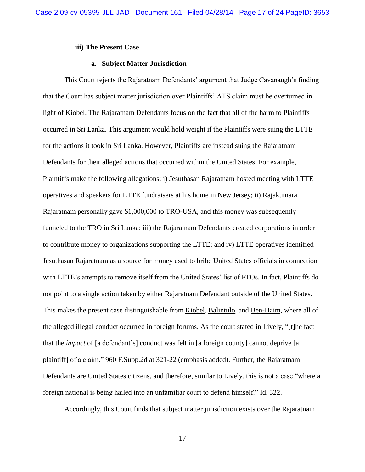## **iii) The Present Case**

## **a. Subject Matter Jurisdiction**

This Court rejects the Rajaratnam Defendants' argument that Judge Cavanaugh's finding that the Court has subject matter jurisdiction over Plaintiffs' ATS claim must be overturned in light of Kiobel. The Rajaratnam Defendants focus on the fact that all of the harm to Plaintiffs occurred in Sri Lanka. This argument would hold weight if the Plaintiffs were suing the LTTE for the actions it took in Sri Lanka. However, Plaintiffs are instead suing the Rajaratnam Defendants for their alleged actions that occurred within the United States. For example, Plaintiffs make the following allegations: i) Jesuthasan Rajaratnam hosted meeting with LTTE operatives and speakers for LTTE fundraisers at his home in New Jersey; ii) Rajakumara Rajaratnam personally gave \$1,000,000 to TRO-USA, and this money was subsequently funneled to the TRO in Sri Lanka; iii) the Rajaratnam Defendants created corporations in order to contribute money to organizations supporting the LTTE; and iv) LTTE operatives identified Jesuthasan Rajaratnam as a source for money used to bribe United States officials in connection with LTTE's attempts to remove itself from the United States' list of FTOs. In fact, Plaintiffs do not point to a single action taken by either Rajaratnam Defendant outside of the United States. This makes the present case distinguishable from Kiobel, Balintulo, and Ben-Haim, where all of the alleged illegal conduct occurred in foreign forums. As the court stated in Lively, "[t]he fact that the *impact* of [a defendant's] conduct was felt in [a foreign county] cannot deprive [a plaintiff] of a claim." 960 F.Supp.2d at 321-22 (emphasis added). Further, the Rajaratnam Defendants are United States citizens, and therefore, similar to Lively, this is not a case "where a foreign national is being hailed into an unfamiliar court to defend himself." Id. 322.

Accordingly, this Court finds that subject matter jurisdiction exists over the Rajaratnam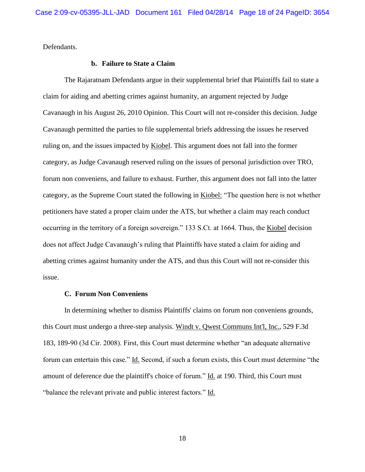Defendants.

## **b. Failure to State a Claim**

The Rajaratnam Defendants argue in their supplemental brief that Plaintiffs fail to state a claim for aiding and abetting crimes against humanity, an argument rejected by Judge Cavanaugh in his August 26, 2010 Opinion. This Court will not re-consider this decision. Judge Cavanaugh permitted the parties to file supplemental briefs addressing the issues he reserved ruling on, and the issues impacted by Kiobel. This argument does not fall into the former category, as Judge Cavanaugh reserved ruling on the issues of personal jurisdiction over TRO, forum non conveniens, and failure to exhaust. Further, this argument does not fall into the latter category, as the Supreme Court stated the following in Kiobel: "The question here is not whether petitioners have stated a proper claim under the ATS, but whether a claim may reach conduct occurring in the territory of a foreign sovereign." 133 S.Ct. at 1664. Thus, the Kiobel decision does not affect Judge Cavanaugh's ruling that Plaintiffs have stated a claim for aiding and abetting crimes against humanity under the ATS, and thus this Court will not re-consider this issue.

## **C. Forum Non Conveniens**

In determining whether to dismiss Plaintiffs' claims on forum non conveniens grounds, this Court must undergo a three-step analysis. Windt v. Qwest Communs Int'l, Inc., 529 F.3d 183, 189-90 (3d Cir. 2008). First, this Court must determine whether "an adequate alternative forum can entertain this case." Id. Second, if such a forum exists, this Court must determine "the amount of deference due the plaintiff's choice of forum." Id. at 190. Third, this Court must "balance the relevant private and public interest factors." Id.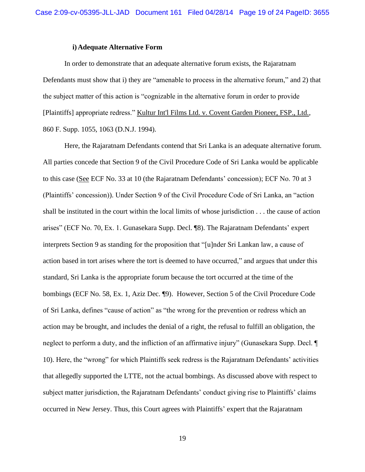### **i)Adequate Alternative Form**

In order to demonstrate that an adequate alternative forum exists, the Rajaratnam Defendants must show that i) they are "amenable to process in the alternative forum," and 2) that the subject matter of this action is "cognizable in the alternative forum in order to provide [Plaintiffs] appropriate redress." Kultur Int'l Films Ltd. v. Covent Garden Pioneer, FSP., Ltd., 860 F. Supp. 1055, 1063 (D.N.J. 1994).

Here, the Rajaratnam Defendants contend that Sri Lanka is an adequate alternative forum. All parties concede that Section 9 of the Civil Procedure Code of Sri Lanka would be applicable to this case (See ECF No. 33 at 10 (the Rajaratnam Defendants' concession); ECF No. 70 at 3 (Plaintiffs' concession)). Under Section 9 of the Civil Procedure Code of Sri Lanka, an "action shall be instituted in the court within the local limits of whose jurisdiction . . . the cause of action arises" (ECF No. 70, Ex. 1. Gunasekara Supp. Decl. ¶8). The Rajaratnam Defendants' expert interprets Section 9 as standing for the proposition that "[u]nder Sri Lankan law, a cause of action based in tort arises where the tort is deemed to have occurred," and argues that under this standard, Sri Lanka is the appropriate forum because the tort occurred at the time of the bombings (ECF No. 58, Ex. 1, Aziz Dec. ¶9). However, Section 5 of the Civil Procedure Code of Sri Lanka, defines "cause of action" as "the wrong for the prevention or redress which an action may be brought, and includes the denial of a right, the refusal to fulfill an obligation, the neglect to perform a duty, and the infliction of an affirmative injury" (Gunasekara Supp. Decl. ¶ 10). Here, the "wrong" for which Plaintiffs seek redress is the Rajaratnam Defendants' activities that allegedly supported the LTTE, not the actual bombings. As discussed above with respect to subject matter jurisdiction, the Rajaratnam Defendants' conduct giving rise to Plaintiffs' claims occurred in New Jersey. Thus, this Court agrees with Plaintiffs' expert that the Rajaratnam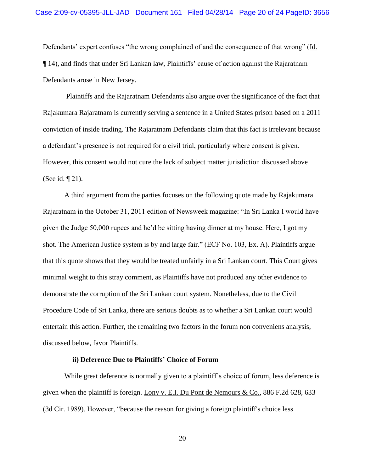Defendants' expert confuses "the wrong complained of and the consequence of that wrong" (Id. ¶ 14), and finds that under Sri Lankan law, Plaintiffs' cause of action against the Rajaratnam Defendants arose in New Jersey.

Plaintiffs and the Rajaratnam Defendants also argue over the significance of the fact that Rajakumara Rajaratnam is currently serving a sentence in a United States prison based on a 2011 conviction of inside trading. The Rajaratnam Defendants claim that this fact is irrelevant because a defendant's presence is not required for a civil trial, particularly where consent is given. However, this consent would not cure the lack of subject matter jurisdiction discussed above (See id.  $\P$  21).

A third argument from the parties focuses on the following quote made by Rajakumara Rajaratnam in the October 31, 2011 edition of Newsweek magazine: "In Sri Lanka I would have given the Judge 50,000 rupees and he'd be sitting having dinner at my house. Here, I got my shot. The American Justice system is by and large fair." (ECF No. 103, Ex. A). Plaintiffs argue that this quote shows that they would be treated unfairly in a Sri Lankan court. This Court gives minimal weight to this stray comment, as Plaintiffs have not produced any other evidence to demonstrate the corruption of the Sri Lankan court system. Nonetheless, due to the Civil Procedure Code of Sri Lanka, there are serious doubts as to whether a Sri Lankan court would entertain this action. Further, the remaining two factors in the forum non conveniens analysis, discussed below, favor Plaintiffs.

## **ii) Deference Due to Plaintiffs' Choice of Forum**

While great deference is normally given to a plaintiff's choice of forum, less deference is given when the plaintiff is foreign. Lony v. E.I. Du Pont de Nemours & Co., 886 F.2d 628, 633 (3d Cir. 1989). However, "because the reason for giving a foreign plaintiff's choice less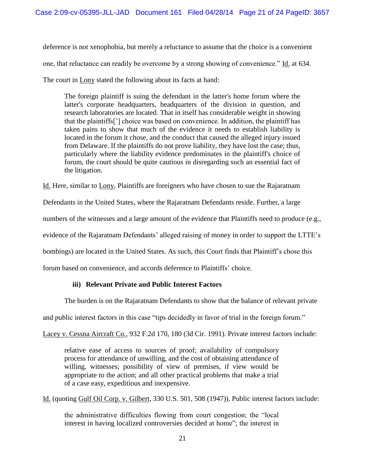deference is not xenophobia, but merely a reluctance to assume that the choice is a convenient one, that reluctance can readily be overcome by a strong showing of convenience." Id. at 634. The court in Lony stated the following about its facts at hand:

The foreign plaintiff is suing the defendant in the latter's home forum where the latter's corporate headquarters, headquarters of the division in question, and research laboratories are located. That in itself has considerable weight in showing that the plaintiffs['] choice was based on convenience. In addition, the plaintiff has taken pains to show that much of the evidence it needs to establish liability is located in the forum it chose, and the conduct that caused the alleged injury issued from Delaware. If the plaintiffs do not prove liability, they have lost the case; thus, particularly where the liability evidence predominates in the plaintiff's choice of forum, the court should be quite cautious in disregarding such an essential fact of the litigation.

Id. Here, similar to Lony, Plaintiffs are foreigners who have chosen to sue the Rajaratnam

Defendants in the United States, where the Rajaratnam Defendants reside. Further, a large

numbers of the witnesses and a large amount of the evidence that Plaintiffs need to produce (e.g.,

evidence of the Rajaratnam Defendants' alleged raising of money in order to support the LTTE's

bombings) are located in the United States. As such, this Court finds that Plaintiff's chose this

forum based on convenience, and accords deference to Plaintiffs' choice.

# **iii) Relevant Private and Public Interest Factors**

The burden is on the Rajaratnam Defendants to show that the balance of relevant private

and public interest factors in this case "tips decidedly in favor of trial in the foreign forum."

Lacey v. Cessna Aircraft Co., 932 F.2d 170, 180 (3d Cir. 1991). Private interest factors include:

relative ease of access to sources of proof; availability of compulsory process for attendance of unwilling, and the cost of obtaining attendance of willing, witnesses; possibility of view of premises, if view would be appropriate to the action; and all other practical problems that make a trial of a case easy, expeditious and inexpensive.

Id. (quoting Gulf Oil Corp. v. Gilbert, 330 U.S. 501, 508 (1947)). Public interest factors include:

the administrative difficulties flowing from court congestion; the "local interest in having localized controversies decided at home"; the interest in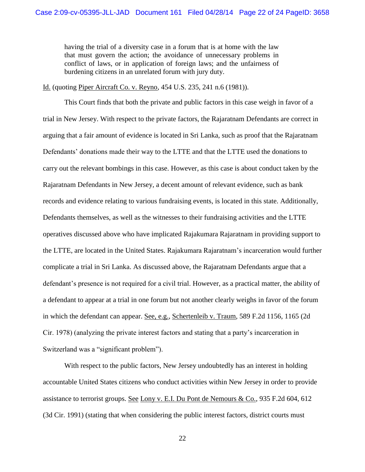having the trial of a diversity case in a forum that is at home with the law that must govern the action; the avoidance of unnecessary problems in conflict of laws, or in application of foreign laws; and the unfairness of burdening citizens in an unrelated forum with jury duty.

Id. (quoting Piper Aircraft Co. v. Reyno, 454 U.S. 235, 241 n.6 (1981)).

This Court finds that both the private and public factors in this case weigh in favor of a trial in New Jersey. With respect to the private factors, the Rajaratnam Defendants are correct in arguing that a fair amount of evidence is located in Sri Lanka, such as proof that the Rajaratnam Defendants' donations made their way to the LTTE and that the LTTE used the donations to carry out the relevant bombings in this case. However, as this case is about conduct taken by the Rajaratnam Defendants in New Jersey, a decent amount of relevant evidence, such as bank records and evidence relating to various fundraising events, is located in this state. Additionally, Defendants themselves, as well as the witnesses to their fundraising activities and the LTTE operatives discussed above who have implicated Rajakumara Rajaratnam in providing support to the LTTE, are located in the United States. Rajakumara Rajaratnam's incarceration would further complicate a trial in Sri Lanka. As discussed above, the Rajaratnam Defendants argue that a defendant's presence is not required for a civil trial. However, as a practical matter, the ability of a defendant to appear at a trial in one forum but not another clearly weighs in favor of the forum in which the defendant can appear. See, e.g., Schertenleib v. Traum, 589 F.2d 1156, 1165 (2d Cir. 1978) (analyzing the private interest factors and stating that a party's incarceration in Switzerland was a "significant problem").

With respect to the public factors, New Jersey undoubtedly has an interest in holding accountable United States citizens who conduct activities within New Jersey in order to provide assistance to terrorist groups. See Lony v. E.I. Du Pont de Nemours & Co., 935 F.2d 604, 612 (3d Cir. 1991) (stating that when considering the public interest factors, district courts must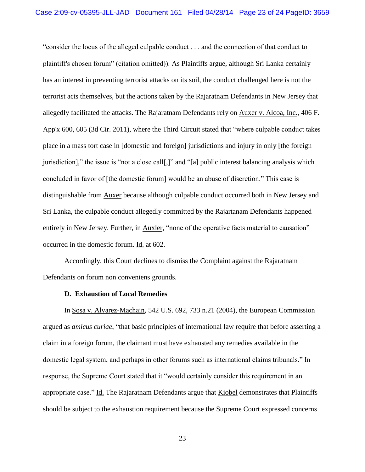"consider the locus of the alleged culpable conduct . . . and the connection of that conduct to plaintiff's chosen forum" (citation omitted)). As Plaintiffs argue, although Sri Lanka certainly has an interest in preventing terrorist attacks on its soil, the conduct challenged here is not the terrorist acts themselves, but the actions taken by the Rajaratnam Defendants in New Jersey that allegedly facilitated the attacks. The Rajaratnam Defendants rely on Auxer v. Alcoa, Inc., 406 F. App'x 600, 605 (3d Cir. 2011), where the Third Circuit stated that "where culpable conduct takes place in a mass tort case in [domestic and foreign] jurisdictions and injury in only [the foreign jurisdiction]," the issue is "not a close call[,]" and "[a] public interest balancing analysis which concluded in favor of [the domestic forum] would be an abuse of discretion." This case is distinguishable from Auxer because although culpable conduct occurred both in New Jersey and Sri Lanka, the culpable conduct allegedly committed by the Rajartanam Defendants happened entirely in New Jersey. Further, in Auxler, "none of the operative facts material to causation" occurred in the domestic forum. Id. at 602.

Accordingly, this Court declines to dismiss the Complaint against the Rajaratnam Defendants on forum non conveniens grounds.

### **D. Exhaustion of Local Remedies**

In Sosa v. Alvarez-Machain, 542 U.S. 692, 733 n.21 (2004), the European Commission argued as *amicus curiae*, "that basic principles of international law require that before asserting a claim in a foreign forum, the claimant must have exhausted any remedies available in the domestic legal system, and perhaps in other forums such as international claims tribunals." In response, the Supreme Court stated that it "would certainly consider this requirement in an appropriate case." Id. The Rajaratnam Defendants argue that Kiobel demonstrates that Plaintiffs should be subject to the exhaustion requirement because the Supreme Court expressed concerns